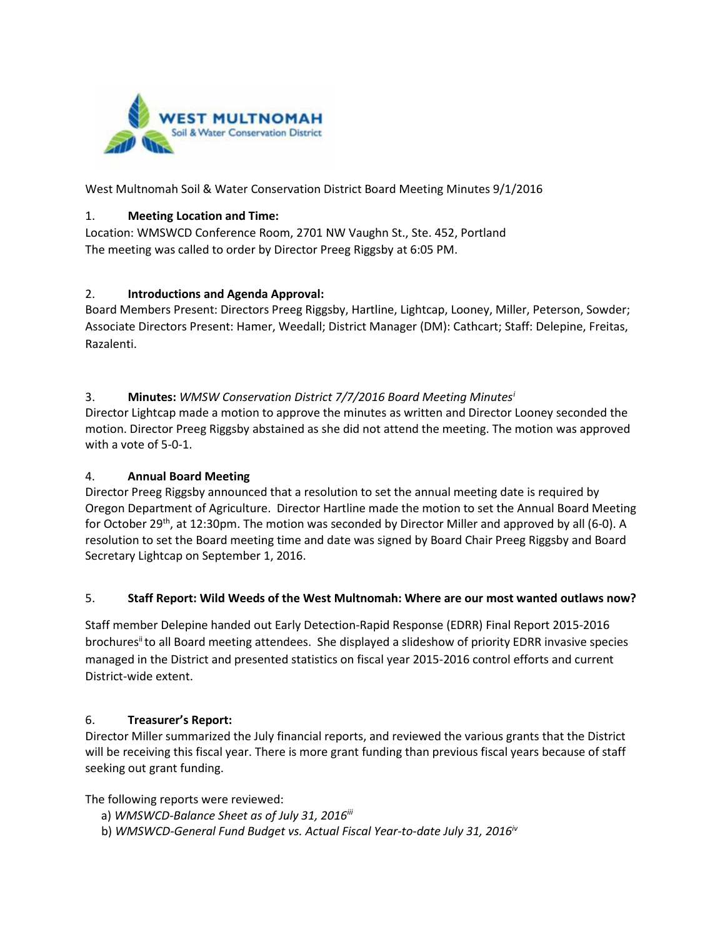

West Multnomah Soil & Water Conservation District Board Meeting Minutes 9/1/2016

#### 1. **Meeting Location and Time:**

Location: WMSWCD Conference Room, 2701 NW Vaughn St., Ste. 452, Portland The meeting was called to order by Director Preeg Riggsby at 6:05 PM.

# 2. **Introductions and Agenda Approval:**

Board Members Present: Directors Preeg Riggsby, Hartline, Lightcap, Looney, Miller, Peterson, Sowder; Associate Directors Present: Hamer, Weedall; District Manager (DM): Cathcart; Staff: Delepine, Freitas, Razalenti.

# 3. **Minutes:** *WMSW Conservation District 7/7/2016 Board Meeting Minutes[i](#page-3-0)*

Director Lightcap made a motion to approve the minutes as written and Director Looney seconded the motion. Director Preeg Riggsby abstained as she did not attend the meeting. The motion was approved with a vote of 5-0-1.

# 4. **Annual Board Meeting**

Director Preeg Riggsby announced that a resolution to set the annual meeting date is required by Oregon Department of Agriculture. Director Hartline made the motion to set the Annual Board Meeting for October 29<sup>th</sup>, at 12:30pm. The motion was seconded by Director Miller and approved by all (6-0). A resolution to set the Board meeting time and date was signed by Board Chair Preeg Riggsby and Board Secretary Lightcap on September 1, 2016.

#### 5. **Staff Report: Wild Weeds of the West Multnomah: Where are our most wanted outlaws now?**

Staff member Delepine handed out Early Detection-Rapid Response (EDRR) Final Report 2015-2016 brochures<sup>ii</sup> to all Board meeting attendees. She displayed a slideshow of priority EDRR invasive species managed in the District and presented statistics on fiscal year 2015-2016 control efforts and current District-wide extent.

#### 6. **Treasurer's Report:**

Director Miller summarized the July financial reports, and reviewed the various grants that the District will be receiving this fiscal year. There is more grant funding than previous fiscal years because of staff seeking out grant funding.

The following reports were reviewed:

- a) *WMSWCD-Balance Sheet as of July 31, 2016<sup>iii</sup>*
- b) *WMSWCD-General Fund Budget vs. Actual Fiscal Year-to-date July 31, 2016iv*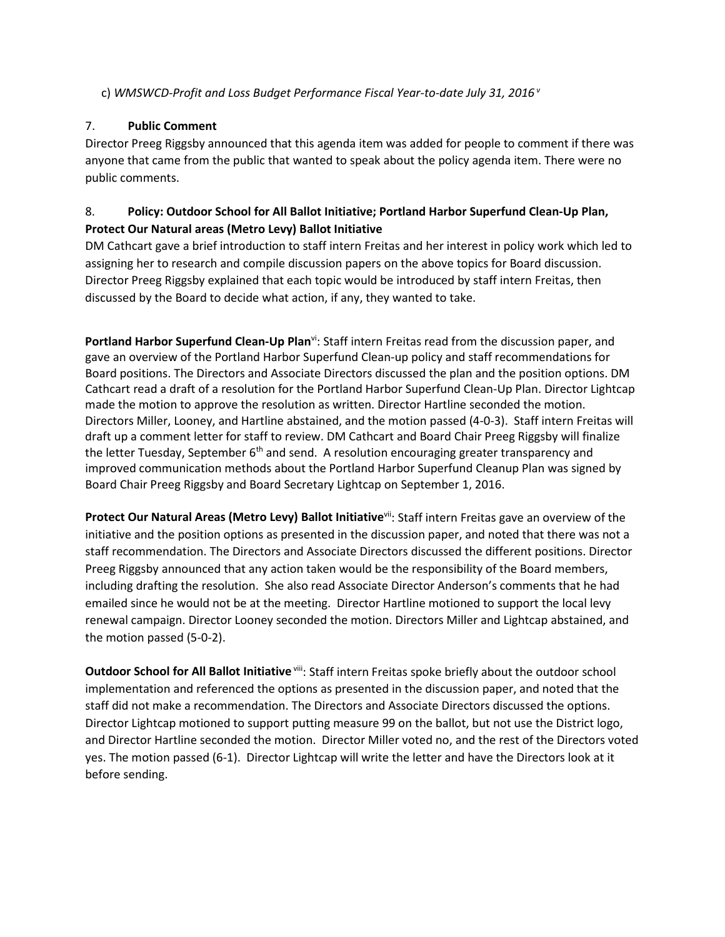### c) *WMSWCD-Profit and Loss Budget Performance Fiscal Year-to-date July 31, 2016 <sup>v</sup>*

### 7. **Public Comment**

Director Preeg Riggsby announced that this agenda item was added for people to comment if there was anyone that came from the public that wanted to speak about the policy agenda item. There were no public comments.

# 8. **Policy: Outdoor School for All Ballot Initiative; Portland Harbor Superfund Clean-Up Plan, Protect Our Natural areas (Metro Levy) Ballot Initiative**

DM Cathcart gave a brief introduction to staff intern Freitas and her interest in policy work which led to assigning her to research and compile discussion papers on the above topics for Board discussion. Director Preeg Riggsby explained that each topic would be introduced by staff intern Freitas, then discussed by the Board to decide what action, if any, they wanted to take.

Portland Harbor Superfund Clean-Up Plan<sup>vi</sup>: Staff intern Freitas read from the discussion paper, and gave an overview of the Portland Harbor Superfund Clean-up policy and staff recommendations for Board positions. The Directors and Associate Directors discussed the plan and the position options. DM Cathcart read a draft of a resolution for the Portland Harbor Superfund Clean-Up Plan. Director Lightcap made the motion to approve the resolution as written. Director Hartline seconded the motion. Directors Miller, Looney, and Hartline abstained, and the motion passed (4-0-3). Staff intern Freitas will draft up a comment letter for staff to review. DM Cathcart and Board Chair Preeg Riggsby will finalize the letter Tuesday, September 6<sup>th</sup> and send. A resolution encouraging greater transparency and improved communication methods about the Portland Harbor Superfund Cleanup Plan was signed by Board Chair Preeg Riggsby and Board Secretary Lightcap on September 1, 2016.

Protect Our Natural Areas (Metro Levy) Ballot Initiative<sup>vii</sup>: Staff intern Freitas gave an overview of the initiative and the position options as presented in the discussion paper, and noted that there was not a staff recommendation. The Directors and Associate Directors discussed the different positions. Director Preeg Riggsby announced that any action taken would be the responsibility of the Board members, including drafting the resolution. She also read Associate Director Anderson's comments that he had emailed since he would not be at the meeting. Director Hartline motioned to support the local levy renewal campaign. Director Looney seconded the motion. Directors Miller and Lightcap abstained, and the motion passed (5-0-2).

**Outdoor School for All Ballot Initiative** viii: Staff intern Freitas spoke briefly about the outdoor school implementation and referenced the options as presented in the discussion paper, and noted that the staff did not make a recommendation. The Directors and Associate Directors discussed the options. Director Lightcap motioned to support putting measure 99 on the ballot, but not use the District logo, and Director Hartline seconded the motion. Director Miller voted no, and the rest of the Directors voted yes. The motion passed (6-1). Director Lightcap will write the letter and have the Directors look at it before sending.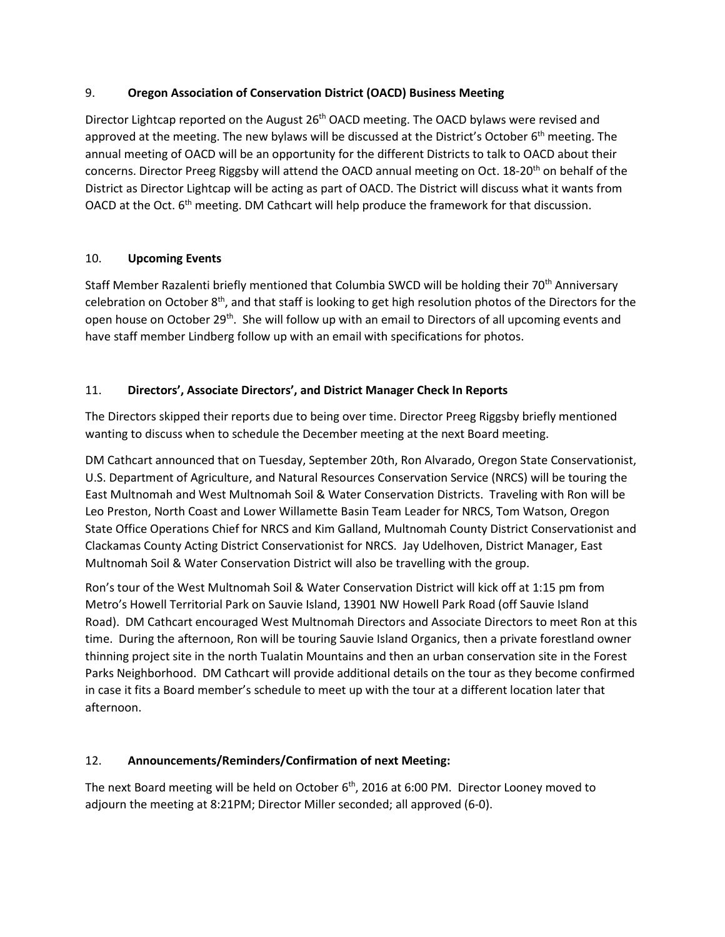# 9. **Oregon Association of Conservation District (OACD) Business Meeting**

Director Lightcap reported on the August 26<sup>th</sup> OACD meeting. The OACD bylaws were revised and approved at the meeting. The new bylaws will be discussed at the District's October 6<sup>th</sup> meeting. The annual meeting of OACD will be an opportunity for the different Districts to talk to OACD about their concerns. Director Preeg Riggsby will attend the OACD annual meeting on Oct. 18-20<sup>th</sup> on behalf of the District as Director Lightcap will be acting as part of OACD. The District will discuss what it wants from OACD at the Oct. 6<sup>th</sup> meeting. DM Cathcart will help produce the framework for that discussion.

# 10. **Upcoming Events**

Staff Member Razalenti briefly mentioned that Columbia SWCD will be holding their 70<sup>th</sup> Anniversary celebration on October 8th, and that staff is looking to get high resolution photos of the Directors for the open house on October 29<sup>th</sup>. She will follow up with an email to Directors of all upcoming events and have staff member Lindberg follow up with an email with specifications for photos.

# 11. **Directors', Associate Directors', and District Manager Check In Reports**

The Directors skipped their reports due to being over time. Director Preeg Riggsby briefly mentioned wanting to discuss when to schedule the December meeting at the next Board meeting.

DM Cathcart announced that on Tuesday, September 20th, Ron Alvarado, Oregon State Conservationist, U.S. Department of Agriculture, and Natural Resources Conservation Service (NRCS) will be touring the East Multnomah and West Multnomah Soil & Water Conservation Districts. Traveling with Ron will be Leo Preston, North Coast and Lower Willamette Basin Team Leader for NRCS, Tom Watson, Oregon State Office Operations Chief for NRCS and Kim Galland, Multnomah County District Conservationist and Clackamas County Acting District Conservationist for NRCS. Jay Udelhoven, District Manager, East Multnomah Soil & Water Conservation District will also be travelling with the group.

Ron's tour of the West Multnomah Soil & Water Conservation District will kick off at 1:15 pm from Metro's Howell Territorial Park on Sauvie Island, 13901 NW Howell Park Road (off Sauvie Island Road). DM Cathcart encouraged West Multnomah Directors and Associate Directors to meet Ron at this time. During the afternoon, Ron will be touring Sauvie Island Organics, then a private forestland owner thinning project site in the north Tualatin Mountains and then an urban conservation site in the Forest Parks Neighborhood. DM Cathcart will provide additional details on the tour as they become confirmed in case it fits a Board member's schedule to meet up with the tour at a different location later that afternoon.

# 12. **Announcements/Reminders/Confirmation of next Meeting:**

The next Board meeting will be held on October  $6<sup>th</sup>$ , 2016 at 6:00 PM. Director Looney moved to adjourn the meeting at 8:21PM; Director Miller seconded; all approved (6-0).